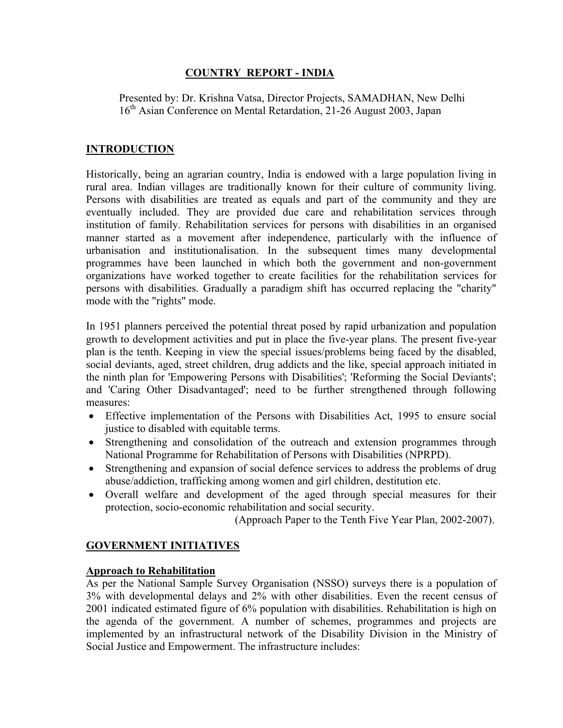#### **COUNTRY REPORT - INDIA**

 Presented by: Dr. Krishna Vatsa, Director Projects, SAMADHAN, New Delhi 16<sup>th</sup> Asian Conference on Mental Retardation, 21-26 August 2003, Japan

#### **INTRODUCTION**

Historically, being an agrarian country, India is endowed with a large population living in rural area. Indian villages are traditionally known for their culture of community living. Persons with disabilities are treated as equals and part of the community and they are eventually included. They are provided due care and rehabilitation services through institution of family. Rehabilitation services for persons with disabilities in an organised manner started as a movement after independence, particularly with the influence of urbanisation and institutionalisation. In the subsequent times many developmental programmes have been launched in which both the government and non-government organizations have worked together to create facilities for the rehabilitation services for persons with disabilities. Gradually a paradigm shift has occurred replacing the "charity" mode with the "rights" mode.

In 1951 planners perceived the potential threat posed by rapid urbanization and population growth to development activities and put in place the five-year plans. The present five-year plan is the tenth. Keeping in view the special issues/problems being faced by the disabled, social deviants, aged, street children, drug addicts and the like, special approach initiated in the ninth plan for 'Empowering Persons with Disabilities'; 'Reforming the Social Deviants'; and 'Caring Other Disadvantaged'; need to be further strengthened through following measures:

- Effective implementation of the Persons with Disabilities Act, 1995 to ensure social justice to disabled with equitable terms.
- Strengthening and consolidation of the outreach and extension programmes through National Programme for Rehabilitation of Persons with Disabilities (NPRPD).
- Strengthening and expansion of social defence services to address the problems of drug abuse/addiction, trafficking among women and girl children, destitution etc.
- Overall welfare and development of the aged through special measures for their protection, socio-economic rehabilitation and social security.

(Approach Paper to the Tenth Five Year Plan, 2002-2007).

#### **GOVERNMENT INITIATIVES**

#### **Approach to Rehabilitation**

As per the National Sample Survey Organisation (NSSO) surveys there is a population of 3% with developmental delays and 2% with other disabilities. Even the recent census of 2001 indicated estimated figure of 6% population with disabilities. Rehabilitation is high on the agenda of the government. A number of schemes, programmes and projects are implemented by an infrastructural network of the Disability Division in the Ministry of Social Justice and Empowerment. The infrastructure includes: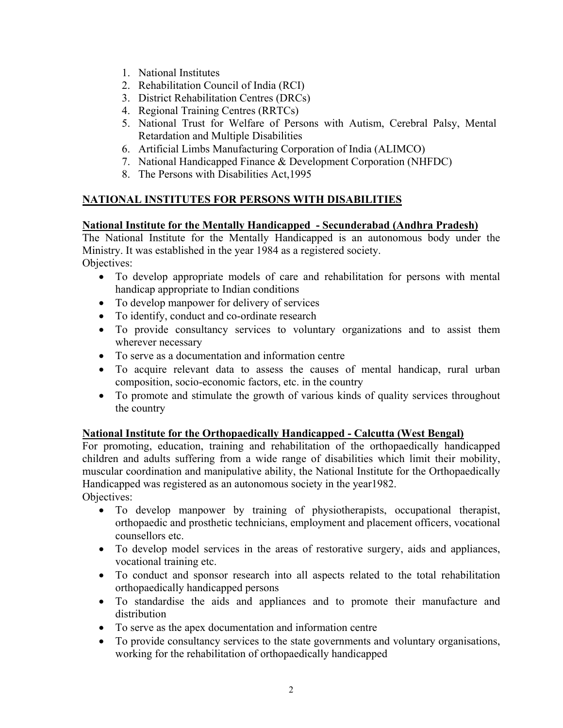- 1. National Institutes
- 2. Rehabilitation Council of India (RCI)
- 3. District Rehabilitation Centres (DRCs)
- 4. Regional Training Centres (RRTCs)
- 5. National Trust for Welfare of Persons with Autism, Cerebral Palsy, Mental Retardation and Multiple Disabilities
- 6. Artificial Limbs Manufacturing Corporation of India (ALIMCO)
- 7. National Handicapped Finance & Development Corporation (NHFDC)
- 8. The Persons with Disabilities Act,1995

## **NATIONAL INSTITUTES FOR PERSONS WITH DISABILITIES**

#### **National Institute for the Mentally Handicapped - Secunderabad (Andhra Pradesh)**

The National Institute for the Mentally Handicapped is an autonomous body under the Ministry. It was established in the year 1984 as a registered society. Objectives:

- To develop appropriate models of care and rehabilitation for persons with mental handicap appropriate to Indian conditions
- To develop manpower for delivery of services
- To identify, conduct and co-ordinate research
- To provide consultancy services to voluntary organizations and to assist them wherever necessary
- To serve as a documentation and information centre
- To acquire relevant data to assess the causes of mental handicap, rural urban composition, socio-economic factors, etc. in the country
- To promote and stimulate the growth of various kinds of quality services throughout the country

#### **National Institute for the Orthopaedically Handicapped - Calcutta (West Bengal)**

For promoting, education, training and rehabilitation of the orthopaedically handicapped children and adults suffering from a wide range of disabilities which limit their mobility, muscular coordination and manipulative ability, the National Institute for the Orthopaedically Handicapped was registered as an autonomous society in the year1982. Objectives:

- To develop manpower by training of physiotherapists, occupational therapist, orthopaedic and prosthetic technicians, employment and placement officers, vocational counsellors etc.
- To develop model services in the areas of restorative surgery, aids and appliances, vocational training etc.
- To conduct and sponsor research into all aspects related to the total rehabilitation orthopaedically handicapped persons
- To standardise the aids and appliances and to promote their manufacture and distribution
- To serve as the apex documentation and information centre
- To provide consultancy services to the state governments and voluntary organisations, working for the rehabilitation of orthopaedically handicapped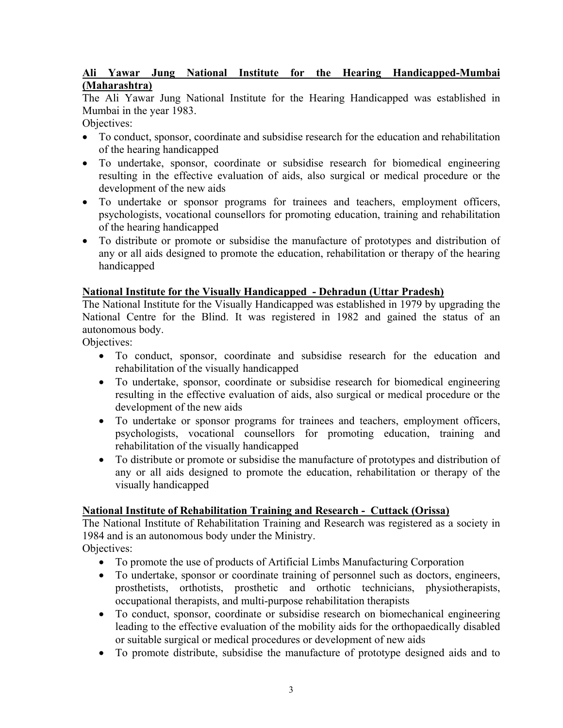### **Ali Yawar Jung National Institute for the Hearing Handicapped-Mumbai (Maharashtra)**

The Ali Yawar Jung National Institute for the Hearing Handicapped was established in Mumbai in the year 1983.

Objectives:

- To conduct, sponsor, coordinate and subsidise research for the education and rehabilitation of the hearing handicapped
- To undertake, sponsor, coordinate or subsidise research for biomedical engineering resulting in the effective evaluation of aids, also surgical or medical procedure or the development of the new aids
- To undertake or sponsor programs for trainees and teachers, employment officers, psychologists, vocational counsellors for promoting education, training and rehabilitation of the hearing handicapped
- To distribute or promote or subsidise the manufacture of prototypes and distribution of any or all aids designed to promote the education, rehabilitation or therapy of the hearing handicapped

### **[National Institute for the Visually Handicapped](http://www.nivh.org/) - Dehradun (Uttar Pradesh)**

The National Institute for the Visually Handicapped was established in 1979 by upgrading the National Centre for the Blind. It was registered in 1982 and gained the status of an autonomous body.

Objectives:

- To conduct, sponsor, coordinate and subsidise research for the education and rehabilitation of the visually handicapped
- To undertake, sponsor, coordinate or subsidise research for biomedical engineering resulting in the effective evaluation of aids, also surgical or medical procedure or the development of the new aids
- To undertake or sponsor programs for trainees and teachers, employment officers, psychologists, vocational counsellors for promoting education, training and rehabilitation of the visually handicapped
- To distribute or promote or subsidise the manufacture of prototypes and distribution of any or all aids designed to promote the education, rehabilitation or therapy of the visually handicapped

## **National Institute of Rehabilitation Training and Research - Cuttack (Orissa)**

The National Institute of Rehabilitation Training and Research was registered as a society in 1984 and is an autonomous body under the Ministry.

Objectives:

- To promote the use of products of Artificial Limbs Manufacturing Corporation
- To undertake, sponsor or coordinate training of personnel such as doctors, engineers, prosthetists, orthotists, prosthetic and orthotic technicians, physiotherapists, occupational therapists, and multi-purpose rehabilitation therapists
- To conduct, sponsor, coordinate or subsidise research on biomechanical engineering leading to the effective evaluation of the mobility aids for the orthopaedically disabled or suitable surgical or medical procedures or development of new aids
- To promote distribute, subsidise the manufacture of prototype designed aids and to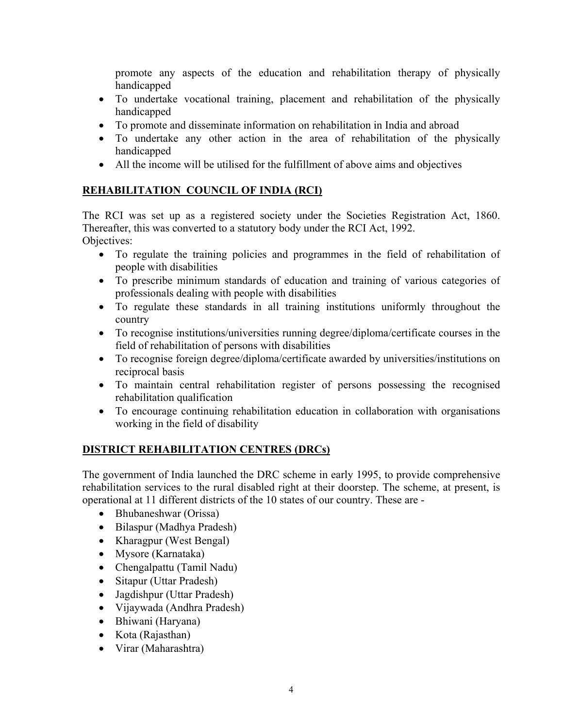promote any aspects of the education and rehabilitation therapy of physically handicapped

- To undertake vocational training, placement and rehabilitation of the physically handicapped
- To promote and disseminate information on rehabilitation in India and abroad
- To undertake any other action in the area of rehabilitation of the physically handicapped
- All the income will be utilised for the fulfillment of above aims and objectives

# **REHABILITATION COUNCIL OF INDIA (RCI)**

The RCI was set up as a registered society under the Societies Registration Act, 1860. Thereafter, this was converted to a statutory body under the RCI Act, 1992. Objectives:

- To regulate the training policies and programmes in the field of rehabilitation of people with disabilities
- To prescribe minimum standards of education and training of various categories of professionals dealing with people with disabilities
- To regulate these standards in all training institutions uniformly throughout the country
- To recognise institutions/universities running degree/diploma/certificate courses in the field of rehabilitation of persons with disabilities
- To recognise foreign degree/diploma/certificate awarded by universities/institutions on reciprocal basis
- To maintain central rehabilitation register of persons possessing the recognised rehabilitation qualification
- To encourage continuing rehabilitation education in collaboration with organisations working in the field of disability

# **DISTRICT REHABILITATION CENTRES (DRCs)**

The government of India launched the DRC scheme in early 1995, to provide comprehensive rehabilitation services to the rural disabled right at their doorstep. The scheme, at present, is operational at 11 different districts of the 10 states of our country. These are -

- Bhubaneshwar (Orissa)
- Bilaspur (Madhya Pradesh)
- Kharagpur (West Bengal)
- Mysore (Karnataka)
- Chengalpattu (Tamil Nadu)
- Sitapur (Uttar Pradesh)
- Jagdishpur (Uttar Pradesh)
- Vijaywada (Andhra Pradesh)
- Bhiwani (Haryana)
- Kota (Rajasthan)
- Virar (Maharashtra)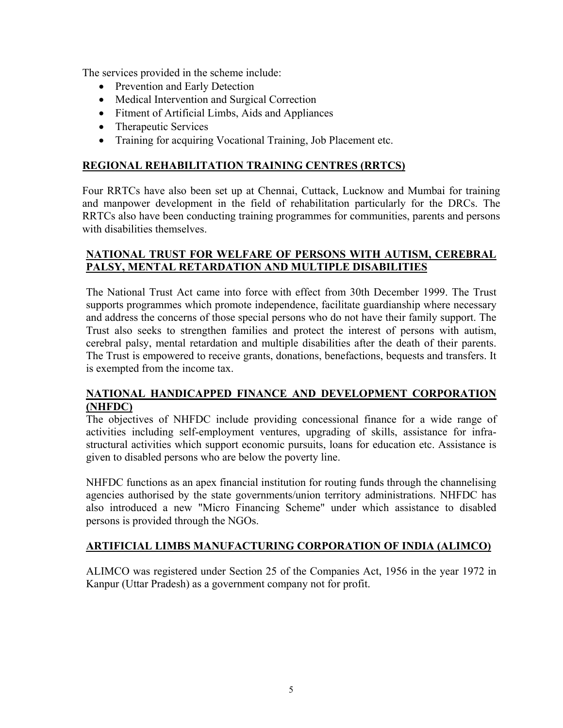The services provided in the scheme include:

- Prevention and Early Detection
- Medical Intervention and Surgical Correction
- Fitment of Artificial Limbs, Aids and Appliances
- Therapeutic Services
- Training for acquiring Vocational Training, Job Placement etc.

### **REGIONAL REHABILITATION TRAINING CENTRES (RRTCS)**

Four RRTCs have also been set up at Chennai, Cuttack, Lucknow and Mumbai for training and manpower development in the field of rehabilitation particularly for the DRCs. The RRTCs also have been conducting training programmes for communities, parents and persons with disabilities themselves

#### **NATIONAL TRUST FOR WELFARE OF PERSONS WITH AUTISM, CEREBRAL PALSY, MENTAL RETARDATION AND MULTIPLE DISABILITIES**

The National Trust Act came into force with effect from 30th December 1999. The Trust supports programmes which promote independence, facilitate guardianship where necessary and address the concerns of those special persons who do not have their family support. The Trust also seeks to strengthen families and protect the interest of persons with autism, cerebral palsy, mental retardation and multiple disabilities after the death of their parents. The Trust is empowered to receive grants, donations, benefactions, bequests and transfers. It is exempted from the income tax.

#### **NATIONAL HANDICAPPED FINANCE AND DEVELOPMENT CORPORATION (NHFDC)**

The objectives of NHFDC include providing concessional finance for a wide range of activities including self-employment ventures, upgrading of skills, assistance for infrastructural activities which support economic pursuits, loans for education etc. Assistance is given to disabled persons who are below the poverty line.

NHFDC functions as an apex financial institution for routing funds through the channelising agencies authorised by the state governments/union territory administrations. NHFDC has also introduced a new "Micro Financing Scheme" under which assistance to disabled persons is provided through the NGOs.

#### **ARTIFICIAL LIMBS MANUFACTURING CORPORATION OF INDIA (ALIMCO)**

ALIMCO was registered under Section 25 of the Companies Act, 1956 in the year 1972 in Kanpur (Uttar Pradesh) as a government company not for profit.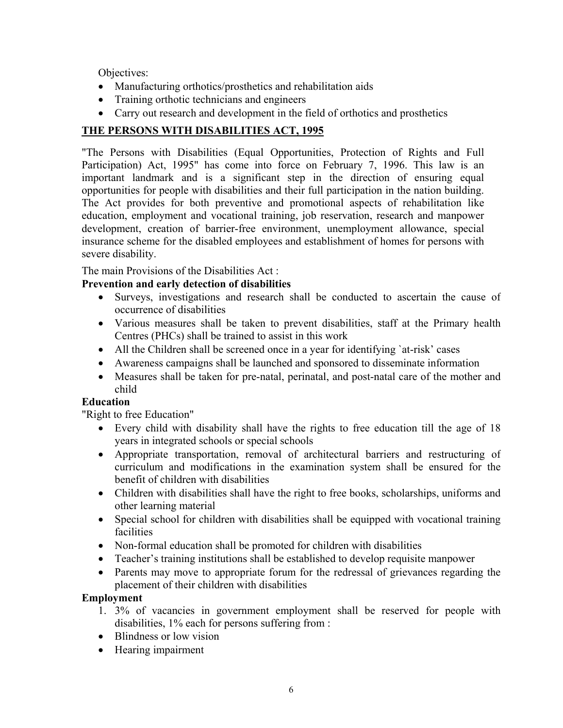Objectives:

- Manufacturing orthotics/prosthetics and rehabilitation aids
- Training orthotic technicians and engineers
- Carry out research and development in the field of orthotics and prosthetics

# **THE PERSONS WITH DISABILITIES ACT, 1995**

"The Persons with Disabilities (Equal Opportunities, Protection of Rights and Full Participation) Act, 1995" has come into force on February 7, 1996. This law is an important landmark and is a significant step in the direction of ensuring equal opportunities for people with disabilities and their full participation in the nation building. The Act provides for both preventive and promotional aspects of rehabilitation like education, employment and vocational training, job reservation, research and manpower development, creation of barrier-free environment, unemployment allowance, special insurance scheme for the disabled employees and establishment of homes for persons with severe disability.

The main Provisions of the Disabilities Act :

## **Prevention and early detection of disabilities**

- Surveys, investigations and research shall be conducted to ascertain the cause of occurrence of disabilities
- Various measures shall be taken to prevent disabilities, staff at the Primary health Centres (PHCs) shall be trained to assist in this work
- All the Children shall be screened once in a year for identifying `at-risk' cases
- Awareness campaigns shall be launched and sponsored to disseminate information
- Measures shall be taken for pre-natal, perinatal, and post-natal care of the mother and child

## **Education**

"Right to free Education"

- Every child with disability shall have the rights to free education till the age of 18 years in integrated schools or special schools
- Appropriate transportation, removal of architectural barriers and restructuring of curriculum and modifications in the examination system shall be ensured for the benefit of children with disabilities
- Children with disabilities shall have the right to free books, scholarships, uniforms and other learning material
- Special school for children with disabilities shall be equipped with vocational training facilities
- Non-formal education shall be promoted for children with disabilities
- Teacher's training institutions shall be established to develop requisite manpower
- Parents may move to appropriate forum for the redressal of grievances regarding the placement of their children with disabilities

## **Employment**

- 1. 3% of vacancies in government employment shall be reserved for people with disabilities, 1% each for persons suffering from :
- Blindness or low vision
- Hearing impairment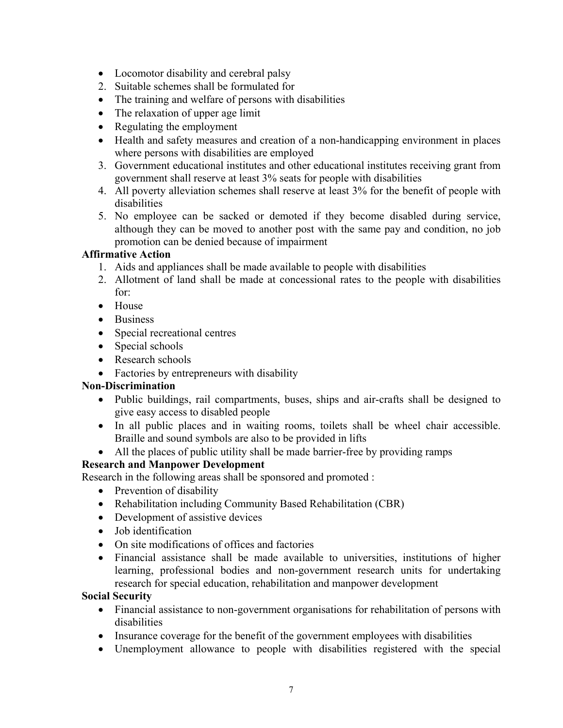- Locomotor disability and cerebral palsy
- 2. Suitable schemes shall be formulated for
- The training and welfare of persons with disabilities
- The relaxation of upper age limit
- Regulating the employment
- Health and safety measures and creation of a non-handicapping environment in places where persons with disabilities are employed
- 3. Government educational institutes and other educational institutes receiving grant from government shall reserve at least 3% seats for people with disabilities
- 4. All poverty alleviation schemes shall reserve at least 3% for the benefit of people with disabilities
- 5. No employee can be sacked or demoted if they become disabled during service, although they can be moved to another post with the same pay and condition, no job promotion can be denied because of impairment

#### **Affirmative Action**

- 1. Aids and appliances shall be made available to people with disabilities
- 2. Allotment of land shall be made at concessional rates to the people with disabilities for:
- House
- Business
- Special recreational centres
- Special schools
- Research schools
- Factories by entrepreneurs with disability

## **Non-Discrimination**

- Public buildings, rail compartments, buses, ships and air-crafts shall be designed to give easy access to disabled people
- In all public places and in waiting rooms, toilets shall be wheel chair accessible. Braille and sound symbols are also to be provided in lifts
- All the places of public utility shall be made barrier-free by providing ramps

## **Research and Manpower Development**

Research in the following areas shall be sponsored and promoted :

- Prevention of disability
- Rehabilitation including Community Based Rehabilitation (CBR)
- Development of assistive devices
- Job identification
- On site modifications of offices and factories
- Financial assistance shall be made available to universities, institutions of higher learning, professional bodies and non-government research units for undertaking research for special education, rehabilitation and manpower development

#### **Social Security**

- Financial assistance to non-government organisations for rehabilitation of persons with disabilities
- Insurance coverage for the benefit of the government employees with disabilities
- Unemployment allowance to people with disabilities registered with the special